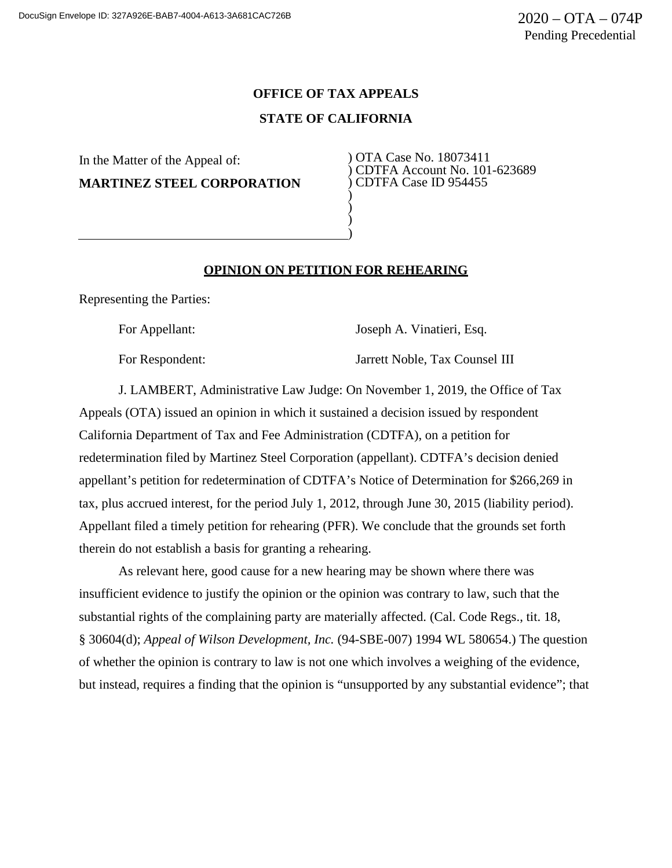## **OFFICE OF TAX APPEALS**

## **STATE OF CALIFORNIA**

In the Matter of the Appeal of: **MARTINEZ STEEL CORPORATION** ) OTA Case No. 18073411 ) CDTFA Account No. 101-623689 ) CDTFA Case ID 954455

## **OPINION ON PETITION FOR REHEARING**

) ) ) )

Representing the Parties:

For Appellant: Joseph A. Vinatieri, Esq.

For Respondent: Jarrett Noble, Tax Counsel III

J. LAMBERT, Administrative Law Judge: On November 1, 2019, the Office of Tax Appeals (OTA) issued an opinion in which it sustained a decision issued by respondent California Department of Tax and Fee Administration (CDTFA), on a petition for redetermination filed by Martinez Steel Corporation (appellant). CDTFA's decision denied appellant's petition for redetermination of CDTFA's Notice of Determination for \$266,269 in tax, plus accrued interest, for the period July 1, 2012, through June 30, 2015 (liability period). Appellant filed a timely petition for rehearing (PFR). We conclude that the grounds set forth therein do not establish a basis for granting a rehearing.

As relevant here, good cause for a new hearing may be shown where there was insufficient evidence to justify the opinion or the opinion was contrary to law, such that the substantial rights of the complaining party are materially affected. (Cal. Code Regs., tit. 18, § 30604(d); *Appeal of Wilson Development, Inc.* (94-SBE-007) 1994 WL 580654.) The question of whether the opinion is contrary to law is not one which involves a weighing of the evidence, but instead, requires a finding that the opinion is "unsupported by any substantial evidence"; that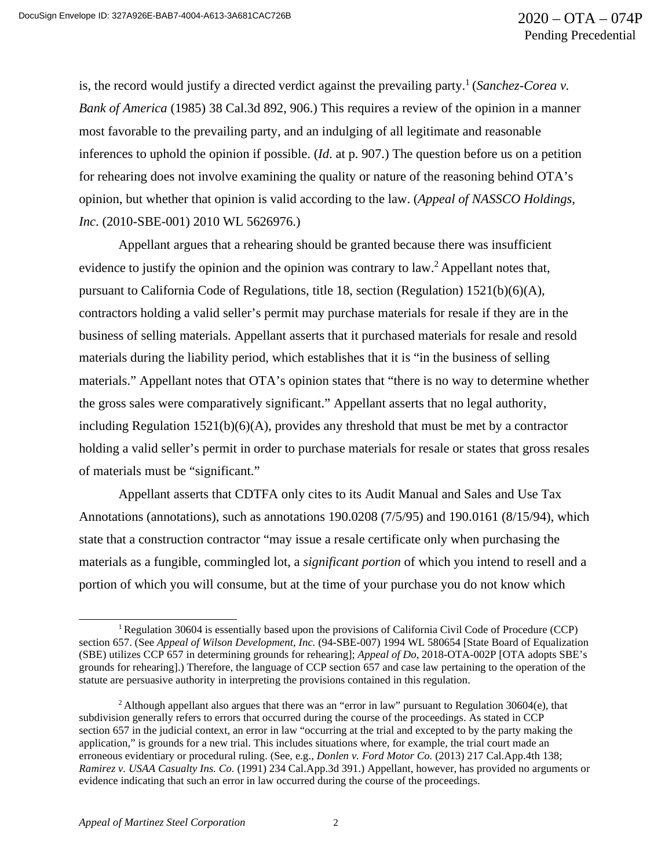is, the record would justify a directed verdict against the prevailing party.<sup>1</sup> (*Sanchez-Corea v. Bank of America* (1985) 38 Cal.3d 892, 906.) This requires a review of the opinion in a manner most favorable to the prevailing party, and an indulging of all legitimate and reasonable inferences to uphold the opinion if possible. (*Id*. at p. 907.) The question before us on a petition for rehearing does not involve examining the quality or nature of the reasoning behind OTA's opinion, but whether that opinion is valid according to the law. (*Appeal of NASSCO Holdings, Inc*. (2010-SBE-001) 2010 WL 5626976.)

Appellant argues that a rehearing should be granted because there was insufficient evidence to justify the opinion and the opinion was contrary to law.<sup>2</sup> Appellant notes that, pursuant to California Code of Regulations, title 18, section (Regulation) 1521(b)(6)(A), contractors holding a valid seller's permit may purchase materials for resale if they are in the business of selling materials. Appellant asserts that it purchased materials for resale and resold materials during the liability period, which establishes that it is "in the business of selling materials." Appellant notes that OTA's opinion states that "there is no way to determine whether the gross sales were comparatively significant." Appellant asserts that no legal authority, including Regulation  $1521(b)(6)(A)$ , provides any threshold that must be met by a contractor holding a valid seller's permit in order to purchase materials for resale or states that gross resales of materials must be "significant."

Appellant asserts that CDTFA only cites to its Audit Manual and Sales and Use Tax Annotations (annotations), such as annotations 190.0208 (7/5/95) and 190.0161 (8/15/94), which state that a construction contractor "may issue a resale certificate only when purchasing the materials as a fungible, commingled lot, a *significant portion* of which you intend to resell and a portion of which you will consume, but at the time of your purchase you do not know which

<sup>1</sup> Regulation 30604 is essentially based upon the provisions of California Civil Code of Procedure (CCP) section 657. (See *Appeal of Wilson Development, Inc.* (94-SBE-007) 1994 WL 580654 [State Board of Equalization (SBE) utilizes CCP 657 in determining grounds for rehearing]; *Appeal of Do*, 2018-OTA-002P [OTA adopts SBE's grounds for rehearing].) Therefore, the language of CCP section 657 and case law pertaining to the operation of the statute are persuasive authority in interpreting the provisions contained in this regulation.

<sup>2</sup> Although appellant also argues that there was an "error in law" pursuant to Regulation 30604(e), that subdivision generally refers to errors that occurred during the course of the proceedings. As stated in CCP section 657 in the judicial context, an error in law "occurring at the trial and excepted to by the party making the application," is grounds for a new trial. This includes situations where, for example, the trial court made an erroneous evidentiary or procedural ruling. (See, e.g., *Donlen v. Ford Motor Co.* (2013) 217 Cal.App.4th 138; *Ramirez v. USAA Casualty Ins. Co.* (1991) 234 Cal.App.3d 391.) Appellant, however, has provided no arguments or evidence indicating that such an error in law occurred during the course of the proceedings.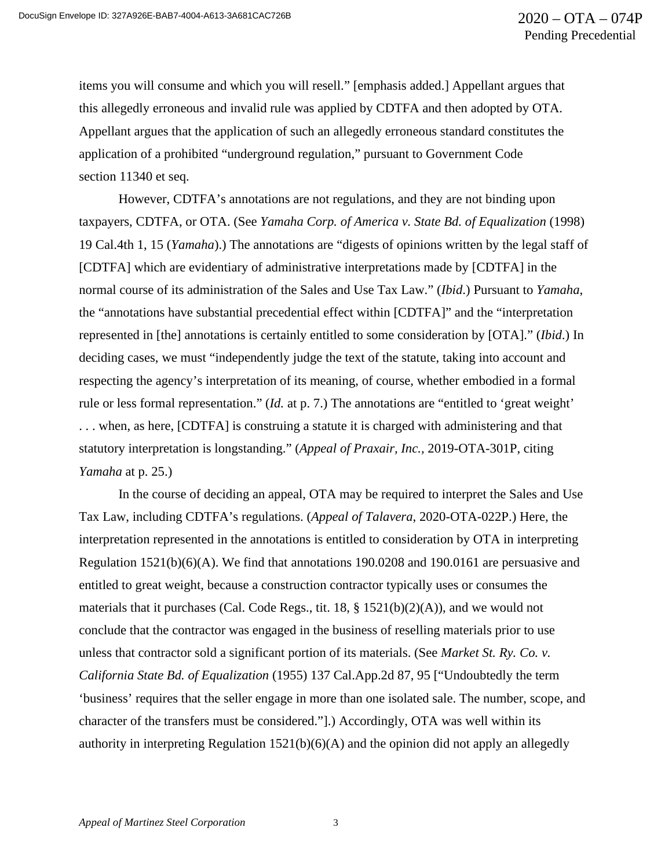items you will consume and which you will resell." [emphasis added.] Appellant argues that this allegedly erroneous and invalid rule was applied by CDTFA and then adopted by OTA. Appellant argues that the application of such an allegedly erroneous standard constitutes the application of a prohibited "underground regulation," pursuant to Government Code section 11340 et seq.

However, CDTFA's annotations are not regulations, and they are not binding upon taxpayers, CDTFA, or OTA. (See *Yamaha Corp. of America v. State Bd. of Equalization* (1998) 19 Cal.4th 1, 15 (*Yamaha*).) The annotations are "digests of opinions written by the legal staff of [CDTFA] which are evidentiary of administrative interpretations made by [CDTFA] in the normal course of its administration of the Sales and Use Tax Law." (*Ibid*.) Pursuant to *Yamaha*, the "annotations have substantial precedential effect within [CDTFA]" and the "interpretation represented in [the] annotations is certainly entitled to some consideration by [OTA]." (*Ibid*.) In deciding cases, we must "independently judge the text of the statute, taking into account and respecting the agency's interpretation of its meaning, of course, whether embodied in a formal rule or less formal representation." (*Id.* at p. 7.) The annotations are "entitled to 'great weight' . . . when, as here, [CDTFA] is construing a statute it is charged with administering and that statutory interpretation is longstanding." (*Appeal of Praxair, Inc.,* 2019-OTA-301P, citing *Yamaha* at p. 25.)

In the course of deciding an appeal, OTA may be required to interpret the Sales and Use Tax Law, including CDTFA's regulations. (*Appeal of Talavera*, 2020-OTA-022P.) Here, the interpretation represented in the annotations is entitled to consideration by OTA in interpreting Regulation 1521(b)(6)(A). We find that annotations 190.0208 and 190.0161 are persuasive and entitled to great weight, because a construction contractor typically uses or consumes the materials that it purchases (Cal. Code Regs., tit. 18,  $\S$  1521(b)(2)(A)), and we would not conclude that the contractor was engaged in the business of reselling materials prior to use unless that contractor sold a significant portion of its materials. (See *Market St. Ry. Co. v. California State Bd. of Equalization* (1955) 137 Cal.App.2d 87, 95 ["Undoubtedly the term 'business' requires that the seller engage in more than one isolated sale. The number, scope, and character of the transfers must be considered."].) Accordingly, OTA was well within its authority in interpreting Regulation  $1521(b)(6)(A)$  and the opinion did not apply an allegedly